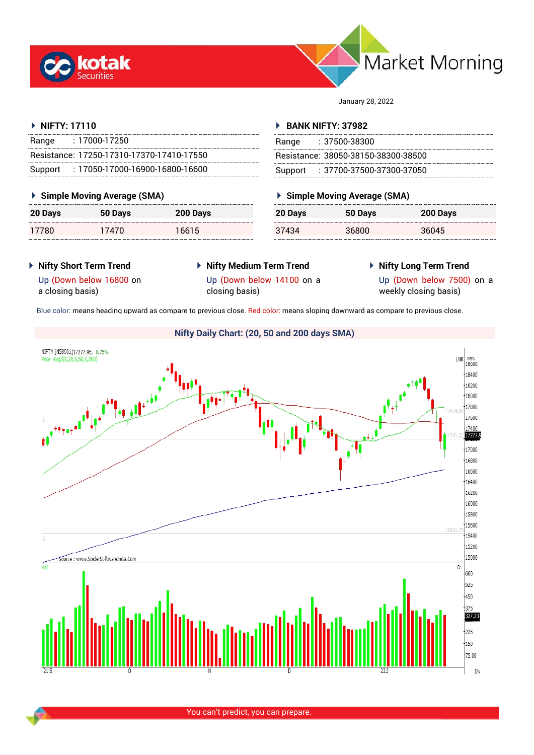



January 28, 2022

# **NIFTY: 17110**

| Range | $: 17000 - 17250$                         |
|-------|-------------------------------------------|
|       | Resistance: 17250-17310-17370-17410-17550 |
|       | Support: 17050-17000-16900-16800-16600    |

# **Simple Moving Average (SMA)**

| <b>20 Days</b> | 50 Days | 200 Days |
|----------------|---------|----------|
| 17780          | 17470   | 16615    |

# **BANK NIFTY: 37982**

| Range : 37500-38300                 |
|-------------------------------------|
| Resistance: 38050-38150-38300-38500 |
| Support: : 37700-37500-37300-37050  |

# **Simple Moving Average (SMA)**

| 20 Days | 50 Days | 200 Days |
|---------|---------|----------|
| 37434   | 36800   | 36045    |

**Nifty Short Term Trend**

# **Nifty Medium Term Trend** closing basis)

**Nifty Long Term Trend**

Up (Down below 16800 on a closing basis)

Up (Down below 14100 on a

Up (Down below 7500) on a weekly closing basis)

Blue color: means heading upward as compare to previous close. Red color: means sloping downward as compare to previous close.

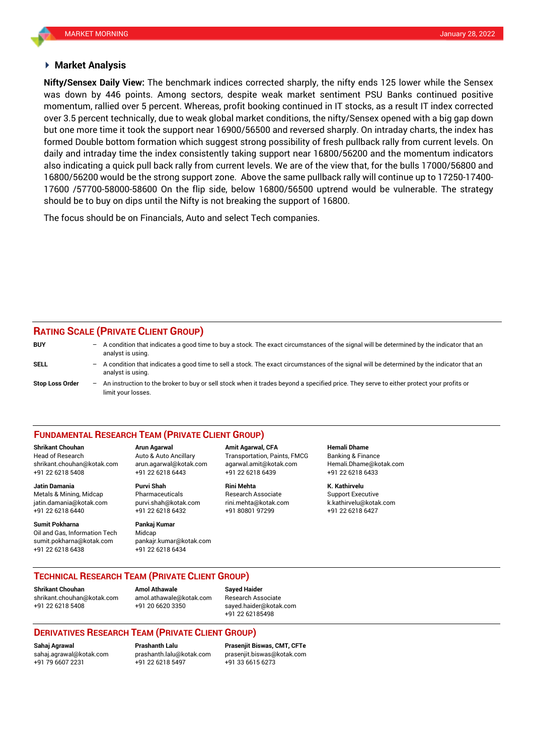# **Market Analysis**

was down by 446 points. Among sectors, despite weak market sentiment PSU Banks continued positive **Nifty/Sensex Daily View:** The benchmark indices corrected sharply, the nifty ends 125 lower while the Sensex momentum, rallied over 5 percent. Whereas, profit booking continued in IT stocks, as a result IT index corrected over 3.5 percent technically, due to weak global market conditions, the nifty/Sensex opened with a big gap down but one more time it took the support near 16900/56500 and reversed sharply. On intraday charts, the index has formed Double bottom formation which suggest strong possibility of fresh pullback rally from current levels. On daily and intraday time the index consistently taking support near 16800/56200 and the momentum indicators also indicating a quick pull back rally from current levels. We are of the view that, for the bulls 17000/56800 and 16800/56200 would be the strong support zone. Above the same pullback rally will continue up to 17250-17400- 17600 /57700-58000-58600 On the flip side, below 16800/56500 uptrend would be vulnerable. The strategy should be to buy on dips until the Nifty is not breaking the support of 16800.

The focus should be on Financials, Auto and select Tech companies.

# **RATING SCALE (PRIVATE CLIENT GROUP)**

| <b>BUY</b>             | - A condition that indicates a good time to buy a stock. The exact circumstances of the signal will be determined by the indicator that an<br>analyst is using.    |
|------------------------|--------------------------------------------------------------------------------------------------------------------------------------------------------------------|
| <b>SELL</b>            | $-$ A condition that indicates a good time to sell a stock. The exact circumstances of the signal will be determined by the indicator that an<br>analyst is using. |
| <b>Stop Loss Order</b> | An instruction to the broker to buy or sell stock when it trades beyond a specified price. They serve to either protect your profits or<br>limit your losses.      |

## **FUNDAMENTAL RESEARCH TEAM (PRIVATE CLIENT GROUP)**

**Shrikant Chouhan Arun Agarwal Amit Agarwal, CFA Hemali Dhame**

+91 22 6218 5408 +91 22 6218 6443 +91 22 6218 6439 +91 22 6218 6433

Metals & Mining, Midcap Pharmaceuticals Research Associate Support Executive jatin.damania@kotak.com [purvi.shah@kotak.com](mailto:purvi.shah@kotak.com) rini.mehta@kotak.com [k.kathirvelu@kotak.com](mailto:k.kathirvelu@kotak.com) +91 22 6218 6440 +91 22 6218 6432 +91 80801 97299 +91 22 6218 6427

**Sumit Pokharna** Pankaj Kumar

Oil and Gas, Information Tech Midcap sumit.pokharna@kotak.com pankajr.kumar@kotak.com +91 22 6218 6438 +91 22 6218 6434

Head of Research Auto & Auto Ancillary Transportation, Paints, FMCG Banking & Finance [shrikant.chouhan@kotak.com](mailto:shrikant.chouhan@kotak.com) arun.agarwal@kotak.com agarwal.amit@kotak.com Hemali.Dhame@kotak.com

**Jatin Damania Purvi Shah Rini Mehta K. Kathirvelu**

# **TECHNICAL RESEARCH TEAM (PRIVATE CLIENT GROUP)**

[shrikant.chouhan@kotak.com](mailto:shrikant.chouhan@kotak.com) [amol.athawale@kotak.com](mailto:amol.athawale@kotak.com) Research Associate +91 22 6218 5408 +91 20 6620 3350 [sayed.haider@kotak.com](mailto:sayed.haider@kotak.com)

**Shrikant Chouhan Amol Athawale Sayed Haider**

+91 22 62185498

# **DERIVATIVES RESEARCH TEAM (PRIVATE CLIENT GROUP)**

+91 79 6607 2231 +91 22 6218 5497 +91 33 6615 6273

**Sahaj Agrawal Prashanth Lalu Prasenjit Biswas, CMT, CFTe** [sahaj.agrawal@kotak.com](mailto:sahaj.agrawal@kotak.com) [prashanth.lalu@kotak.com](mailto:prashanth.lalu@kotak.com) [prasenjit.biswas@kotak.com](mailto:prasenjit.biswas@kotak.com)